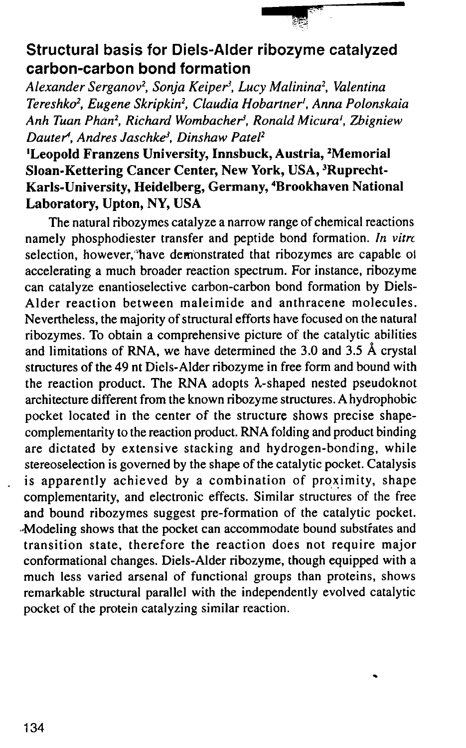## Structural basis for Diels-Alder ribozyme catalyzed carbon-carbon bond formation

-" -

Alexander Serganov<sup>2</sup>, Sonja Keiper<sup>3</sup>, Lucy Malinina<sup>2</sup>, Valentina Tereshko<sup>2</sup>, Eugene Skripkin<sup>2</sup>, Claudia Hobartner<sup>1</sup>, Anna Polonskaia Anh Tuan Phan<sup>2</sup>, Richard Wombacher<sup>3</sup>, Ronald Micura<sup>1</sup>, Zbigniew Dauter<sup>4</sup>, Andres Jaschke<sup>3</sup>, Dinshaw Patel<sup>2</sup>

## <sup>1</sup>Leopold Franzens University, Innsbuck, Austria, <sup>2</sup>Memorial Sloan-Kettering Cancer Center, New York, USA, 3Ruprecht-Karls-University, Heidelberg, Germany, 4Brookhaven National Laboratory, Upton, NY, USA

The natural ribozymes catalyze a narrow range of chemical reactions namely phosphodiester transfer and peptide bond formation. In vitro selection, however;'have dem'onstrated that ribozymes are capable 01 accelerating a much broader reaction spectrum. For instance, ribozyme can catalyze enantioselective carbon-carbon bond formation by Diels-Alder reaction between maleimide and anthracene molecules. Nevertheless, the majority of structural efforts have focused on the natural ribozymes. To obtain a comprehensive picture of the catalytic abilities and limitations of RNA, we have determined the 3.0 and 3.5 A crystal structures of the 49 nt Diels-Alder ribozyme in free form and bound with the reaction product. The RNA adopts  $\lambda$ -shaped nested pseudoknot architecture different from the known ribozyme structures. A hydrophobic pocket located in the center of the structure shows precise shapecomplementarity to the reaction product. RNA folding and product binding are dictated by extensive stacking and hydrogen-bonding, while stereoselection is governed by the shape of the catalytic pocket. Catalysis is apparently achieved by a combination of proximity, shape complementarity, and electronic effects. Similar structures of the free and bound ribozymes suggest pre-formation of the catalytic pocket. ,Modeling shows that the pocket can accommodate bound substrates and transition state, therefore the reaction does not require major conformational changes. Diels-Alder ribozyme, though equipped with a much less varied arsenal of functional groups than proteins, shows remarkable structural parallel with the independently evolved catalytic pocket of the protein catalyzing similar reaction.